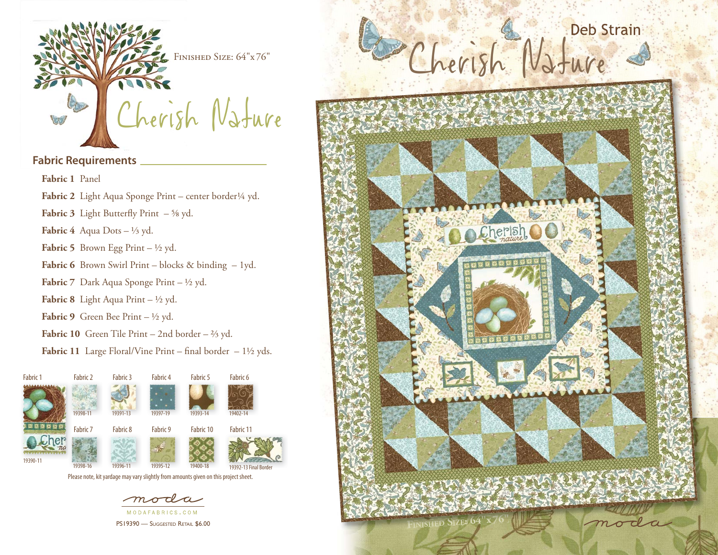

#### **Fabric Requirements**

**Fabric 1** Panel

- Fabric 2 Light Aqua Sponge Print center border<sup>1/4</sup> yd.
- **Fabric 3** Light Butterfly Print  $-$  <sup>5</sup>/8 yd.

**Fabric 4** Aqua Dots  $- \frac{1}{3}$  yd.

- **Fabric 5** Brown Egg Print  $\frac{1}{2}$  yd.
- Fabric 6 Brown Swirl Print blocks & binding 1yd.
- **Fabric 7** Dark Aqua Sponge Print ½ yd.
- **Fabric 8** Light Aqua Print ½ yd.
- Fabric 9 Green Bee Print ½ yd.
- **Fabric 10** Green Tile Print 2nd border ⅔ yd.
- **Fabric 11** Large Floral/Vine Print final border  $-1\frac{1}{2}$  yds.



PS19390 - SUGGESTED RETAIL \$6.00

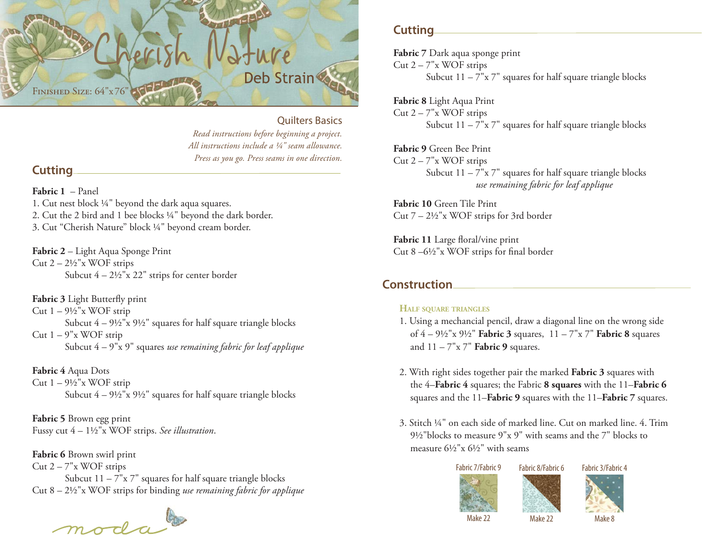

#### Quilters Basics

*Read instructions before beginning a project. All instructions include a ¼" seam allowance. Press as you go. Press seams in one direction.*

### **Cutting**

**Fabric 1** – Panel

1. Cut nest block ¼" beyond the dark aqua squares. 2. Cut the 2 bird and 1 bee blocks ¼" beyond the dark border. 3. Cut "Cherish Nature" block ¼" beyond cream border.

**Fabric 2** – Light Aqua Sponge Print Cut  $2 - 2\frac{1}{2}x$  WOF strips Subcut  $4 - 2\frac{1}{2}x$  22" strips for center border

**Fabric 3** Light Butterfly print Cut  $1 - 9\frac{1}{2}x$  WOF strip Subcut  $4 - 9\frac{1}{2}x$   $9\frac{1}{2}x$  squares for half square triangle blocks Cut  $1 - 9"$ x WOF strip Subcut 4 – 9"x 9" squares *use remaining fabric for leaf applique*

**Fabric 4** Aqua Dots Cut  $1 - 9\frac{1}{2}x$  WOF strip Subcut  $4 - 9\frac{1}{2}x$   $9\frac{1}{2}x$  squares for half square triangle blocks

**Fabric 5** Brown egg print Fussy cut 4 – 1½"x WOF strips. *See illustration*.

**Fabric 6** Brown swirl print Cut  $2 - 7"$ x WOF strips Subcut  $11 - 7"x 7"$  squares for half square triangle blocks Cut 8 – 2½"x WOF strips for binding *use remaining fabric for applique*

moda

# **Cutting**

**Fabric 7** Dark aqua sponge print Cut  $2 - 7"$ x WOF strips Subcut  $11 - 7"x 7"$  squares for half square triangle blocks

**Fabric 8** Light Aqua Print Cut  $2 - 7"$ x WOF strips Subcut  $11 - 7"x 7"$  squares for half square triangle blocks

**Fabric 9** Green Bee Print Cut  $2 - 7"$ x WOF strips Subcut  $11 - 7"x 7"$  squares for half square triangle blocks *use remaining fabric for leaf applique*

**Fabric 10** Green Tile PrintCut  $7 - 2\frac{1}{2}$ "x WOF strips for 3rd border

Fabric 11 Large floral/vine print Cut 8  $-6\frac{1}{2}$ "x WOF strips for final border

## **Construction**

#### **HALF SQUARE TRIANGLES**

- 1. Using a mechancial pencil, draw a diagonal line on the wrong side of 4 – 9½"x 9½" **Fabric 3** squares, 11 – 7"x 7" **Fabric 8** squares and 11 – 7"x 7" **Fabric 9** squares.
- 2. With right sides together pair the marked **Fabric 3** squares with the 4–**Fabric 4** squares; the Fabric **8 squares** with the 11–**Fabric 6** squares and the 11–**Fabric 9** squares with the 11–**Fabric 7** squares.
- 3. Stitch ¼" on each side of marked line. Cut on marked line. 4. Trim 9½"blocks to measure 9"x 9" with seams and the 7" blocks to measure 6½"x 6½" with seams





Fabric 3/Fabric 4

Make 8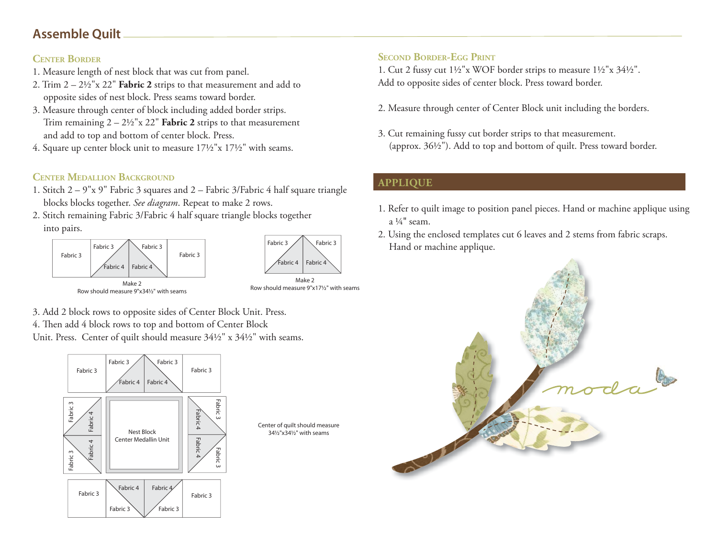# **Assemble Quilt**

### **CENTER BORDER**

- 1. Measure length of nest block that was cut from panel.
- 2. Trim 2 2½"x 22" **Fabric 2** strips to that measurement and add to opposite sides of nest block. Press seams toward border.
- 3. Measure through center of block including added border strips. Trim remaining  $2 - 2\frac{1}{2}x$   $22$ " **Fabric 2** strips to that measurement and add to top and bottom of center block. Press.
- 4. Square up center block unit to measure 17½"x 17½" with seams.

# **CENTER MEDALLION BACKGROUND**

- 1. Stitch 2 9"x 9" Fabric 3 squares and 2 Fabric 3/Fabric 4 half square triangle blocks blocks together. *See diagram*. Repeat to make 2 rows.
- 2. Stitch remaining Fabric 3/Fabric 4 half square triangle blocks together into pairs.





Row should measure 9"x34½" with seams

Make 2Row should measure 9"x17½" with seams

- 3. Add 2 block rows to opposite sides of Center Block Unit. Press.
- 4. Then add 4 block rows to top and bottom of Center Block
- Unit. Press. Center of quilt should measure 34½" x 34½" with seams.



Center of quilt should measure 34½"x34½" with seams

# **SECOND BORDER-EGG PRINT**

1. Cut 2 fussy cut 1½"x WOF border strips to measure 1½"x 34½". Add to opposite sides of center block. Press toward border.

- 2. Measure through center of Center Block unit including the borders.
- 3. Cut remaining fussy cut border strips to that measurement. (approx. 36½"). Add to top and bottom of quilt. Press toward border.

# **APPLIQUE**

- 1. Refer to quilt image to position panel pieces. Hand or machine applique using a  $\frac{1}{4}$ " seam.
- 2. Using the enclosed templates cut 6 leaves and 2 stems from fabric scraps. Hand or machine applique.

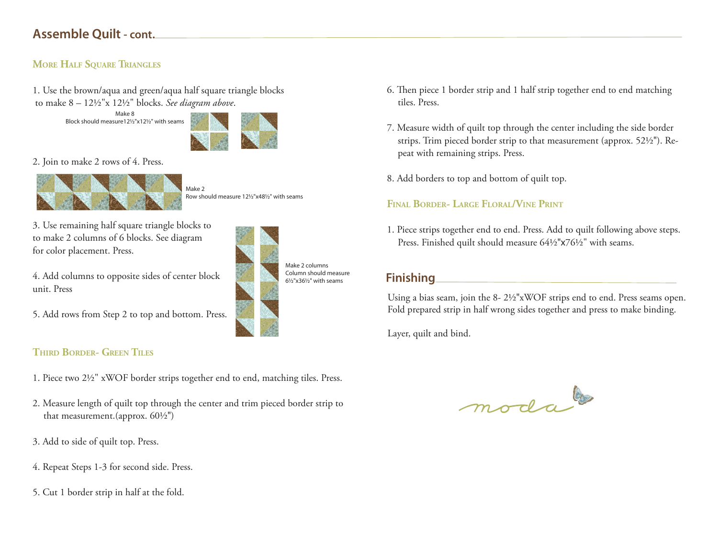# **Assemble Quilt - cont.**

#### **MORE HALF SQUARE TRIANGLES**

1. Use the brown/aqua and green/aqua half square triangle blocks to make 8 – 12½"x 12½" blocks. *See diagram above*.

> Make 8Block should measure12½"x12½" with seams



2. Join to make 2 rows of 4. Press.



Make 2Row should measure 12½"x48½" with seams

3. Use remaining half square triangle blocks to to make 2 columns of 6 blocks. See diagram for color placement. Press.

4. Add columns to opposite sides of center block unit. Press

5. Add rows from Step 2 to top and bottom. Press.



### **THIRD BORDER- GREEN TILES**

- 1. Piece two 2½" xWOF border strips together end to end, matching tiles. Press.
- 2. Measure length of quilt top through the center and trim pieced border strip to that measurement.(approx. 60½")
- 3. Add to side of quilt top. Press.
- 4. Repeat Steps 1-3 for second side. Press.
- 5. Cut 1 border strip in half at the fold.
- 6. Then piece 1 border strip and 1 half strip together end to end matching tiles. Press.
- 7. Measure width of quilt top through the center including the side border strips. Trim pieced border strip to that measurement (approx. 52½"). Repeat with remaining strips. Press.
- 8. Add borders to top and bottom of quilt top.

## **FINAL BORDER- LARGE FLORAL/VINE PRINT**

1. Piece strips together end to end. Press. Add to quilt following above steps. Press. Finished quilt should measure 64½"x76½" with seams.

# **Finishing**

Using a bias seam, join the 8- 2½"xWOF strips end to end. Press seams open. Fold prepared strip in half wrong sides together and press to make binding.

Layer, quilt and bind.